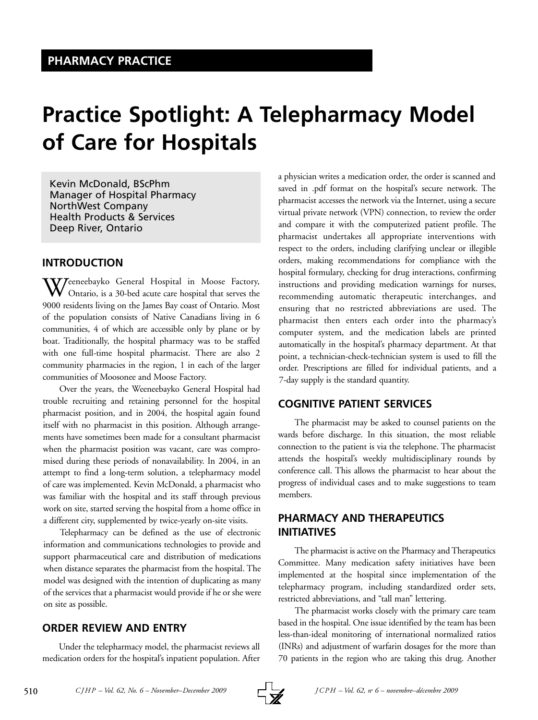# **Practice Spotlight: A Telepharmacy Model of Care for Hospitals**

Kevin McDonald, BScPhm Manager of Hospital Pharmacy NorthWest Company Health Products & Services Deep River, Ontario

# **INTRODUCTION**

 $\mathbf{W}$ Jeeneebayko General Hospital in Moose Factory, Ontario, is a 30-bed acute care hospital that serves the 9000 residents living on the James Bay coast of Ontario. Most of the population consists of Native Canadians living in 6 communities, 4 of which are accessible only by plane or by boat. Traditionally, the hospital pharmacy was to be staffed with one full-time hospital pharmacist. There are also 2 community pharmacies in the region, 1 in each of the larger communities of Moosonee and Moose Factory.

Over the years, the Weeneebayko General Hospital had trouble recruiting and retaining personnel for the hospital pharmacist position, and in 2004, the hospital again found itself with no pharmacist in this position. Although arrangements have sometimes been made for a consultant pharmacist when the pharmacist position was vacant, care was compromised during these periods of nonavailability. In 2004, in an attempt to find a long-term solution, a telepharmacy model of care was implemented. Kevin McDonald, a pharmacist who was familiar with the hospital and its staff through previous work on site, started serving the hospital from a home office in a different city, supplemented by twice-yearly on-site visits.

Telepharmacy can be defined as the use of electronic information and communications technologies to provide and support pharmaceutical care and distribution of medications when distance separates the pharmacist from the hospital. The model was designed with the intention of duplicating as many of the services that a pharmacist would provide if he or she were on site as possible.

# **ORDER REVIEW AND ENTRY**

Under the telepharmacy model, the pharmacist reviews all medication orders for the hospital's inpatient population. After a physician writes a medication order, the order is scanned and saved in .pdf format on the hospital's secure network. The pharmacist accesses the network via the Internet, using a secure virtual private network (VPN) connection, to review the order and compare it with the computerized patient profile. The pharmacist undertakes all appropriate interventions with respect to the orders, including clarifying unclear or illegible orders, making recommendations for compliance with the hospital formulary, checking for drug interactions, confirming instructions and providing medication warnings for nurses, recommending automatic therapeutic interchanges, and ensuring that no restricted abbreviations are used. The pharmacist then enters each order into the pharmacy's computer system, and the medication labels are printed automatically in the hospital's pharmacy department. At that point, a technician-check-technician system is used to fill the order. Prescriptions are filled for individual patients, and a 7-day supply is the standard quantity.

# **COGNITIVE PATIENT SERVICES**

The pharmacist may be asked to counsel patients on the wards before discharge. In this situation, the most reliable connection to the patient is via the telephone. The pharmacist attends the hospital's weekly multidisciplinary rounds by conference call. This allows the pharmacist to hear about the progress of individual cases and to make suggestions to team members.

# **PHARMACY AND THERAPEUTICS INITIATIVES**

The pharmacist is active on the Pharmacy and Therapeutics Committee. Many medication safety initiatives have been implemented at the hospital since implementation of the telepharmacy program, including standardized order sets, restricted abbreviations, and "tall man" lettering.

The pharmacist works closely with the primary care team based in the hospital. One issue identified by the team has been less-than-ideal monitoring of international normalized ratios (INRs) and adjustment of warfarin dosages for the more than 70 patients in the region who are taking this drug. Another